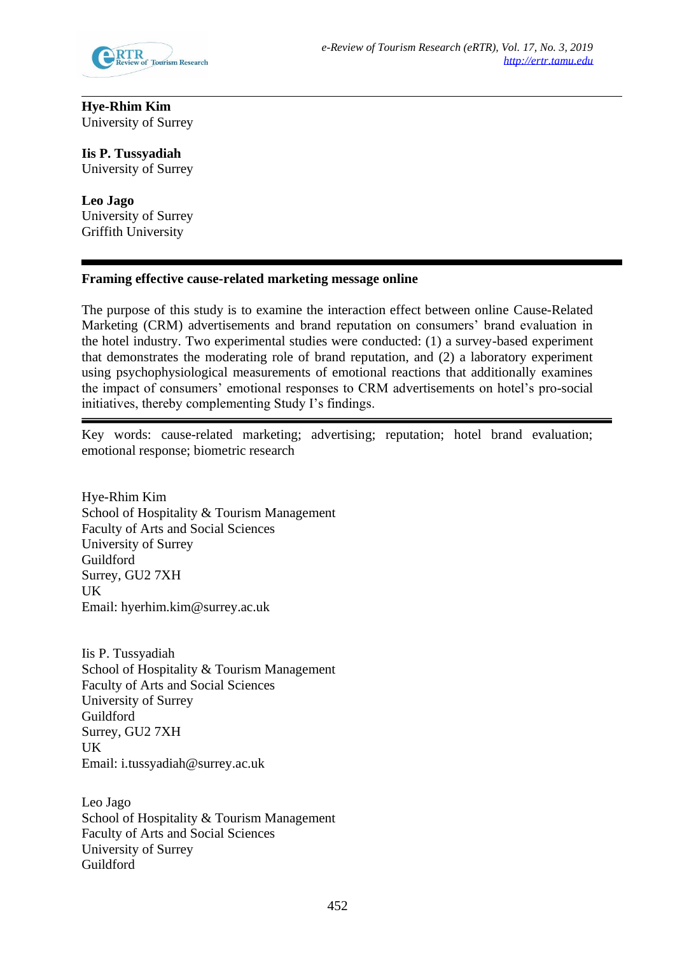

# **Hye-Rhim Kim** University of Surrey

**Iis P. Tussyadiah** University of Surrey

**Leo Jago** University of Surrey Griffith University

# **Framing effective cause-related marketing message online**

The purpose of this study is to examine the interaction effect between online Cause-Related Marketing (CRM) advertisements and brand reputation on consumers' brand evaluation in the hotel industry. Two experimental studies were conducted: (1) a survey-based experiment that demonstrates the moderating role of brand reputation, and (2) a laboratory experiment using psychophysiological measurements of emotional reactions that additionally examines the impact of consumers' emotional responses to CRM advertisements on hotel's pro-social initiatives, thereby complementing Study I's findings.

Key words: cause-related marketing; advertising; reputation; hotel brand evaluation; emotional response; biometric research

Hye-Rhim Kim School of Hospitality & Tourism Management Faculty of Arts and Social Sciences University of Surrey Guildford Surrey, GU2 7XH UK Email: [hyerhim.kim@surrey.ac.uk](mailto:hyerhim.kim@surrey.ac.uk)

Iis P. Tussyadiah School of Hospitality & Tourism Management Faculty of Arts and Social Sciences University of Surrey Guildford Surrey, GU2 7XH UK Email: [i.tussyadiah@surrey.ac.uk](mailto:i.tussyadiah@surrey.ac.uk)

Leo Jago School of Hospitality & Tourism Management Faculty of Arts and Social Sciences University of Surrey Guildford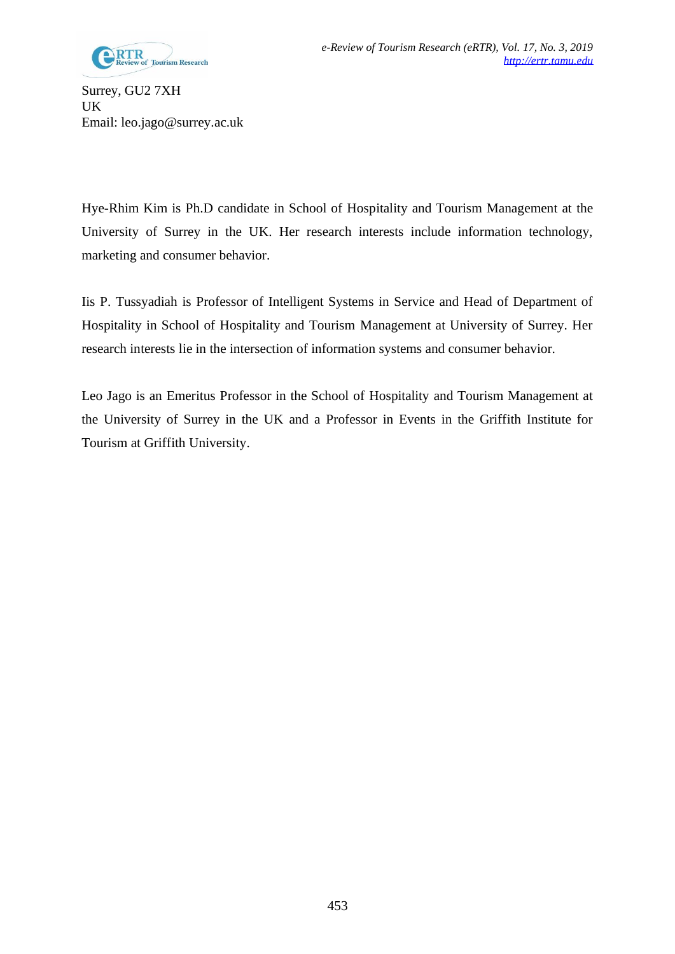

Surrey, GU2 7XH UK Email: [leo.jago@surrey.ac.uk](mailto:leo.jago@surrey.ac.uk)

Hye-Rhim Kim is Ph.D candidate in School of Hospitality and Tourism Management at the University of Surrey in the UK. Her research interests include information technology, marketing and consumer behavior.

Iis P. Tussyadiah is Professor of Intelligent Systems in Service and Head of Department of Hospitality in School of Hospitality and Tourism Management at University of Surrey. Her research interests lie in the intersection of information systems and consumer behavior.

Leo Jago is an Emeritus Professor in the School of Hospitality and Tourism Management at the University of Surrey in the UK and a Professor in Events in the Griffith Institute for Tourism at Griffith University.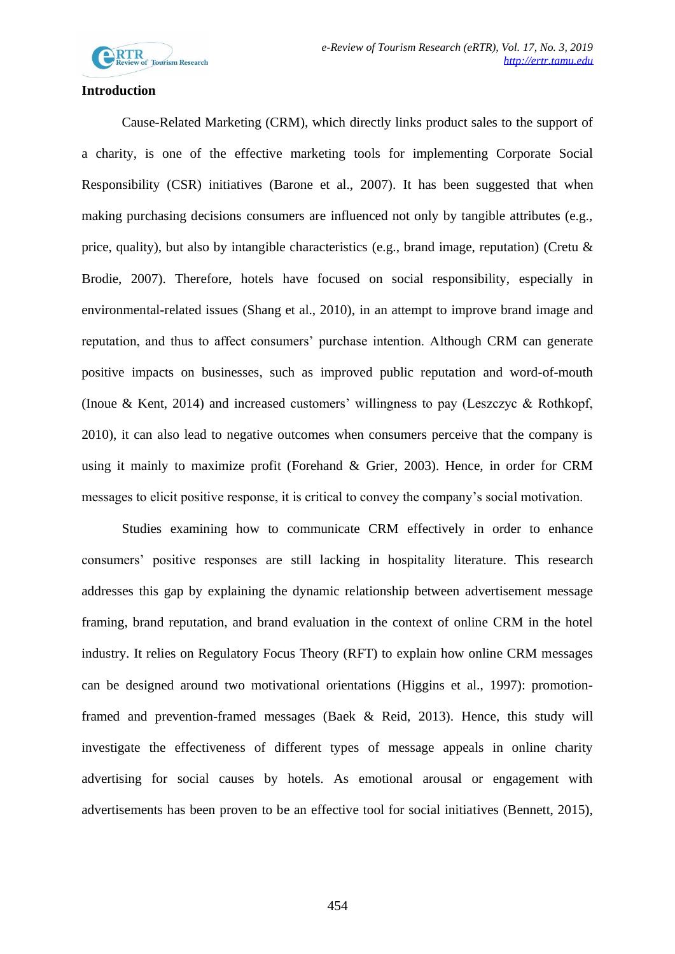

### **Introduction**

Cause-Related Marketing (CRM), which directly links product sales to the support of a charity, is one of the effective marketing tools for implementing Corporate Social Responsibility (CSR) initiatives (Barone et al., 2007). It has been suggested that when making purchasing decisions consumers are influenced not only by tangible attributes (e.g., price, quality), but also by intangible characteristics (e.g., brand image, reputation) (Cretu & Brodie, 2007). Therefore, hotels have focused on social responsibility, especially in environmental-related issues (Shang et al., 2010), in an attempt to improve brand image and reputation, and thus to affect consumers' purchase intention. Although CRM can generate positive impacts on businesses, such as improved public reputation and word-of-mouth (Inoue & Kent, 2014) and increased customers' willingness to pay (Leszczyc & Rothkopf, 2010), it can also lead to negative outcomes when consumers perceive that the company is using it mainly to maximize profit (Forehand & Grier, 2003). Hence, in order for CRM messages to elicit positive response, it is critical to convey the company's social motivation.

Studies examining how to communicate CRM effectively in order to enhance consumers' positive responses are still lacking in hospitality literature. This research addresses this gap by explaining the dynamic relationship between advertisement message framing, brand reputation, and brand evaluation in the context of online CRM in the hotel industry. It relies on Regulatory Focus Theory (RFT) to explain how online CRM messages can be designed around two motivational orientations (Higgins et al., 1997): promotionframed and prevention-framed messages (Baek & Reid, 2013). Hence, this study will investigate the effectiveness of different types of message appeals in online charity advertising for social causes by hotels. As emotional arousal or engagement with advertisements has been proven to be an effective tool for social initiatives (Bennett, 2015),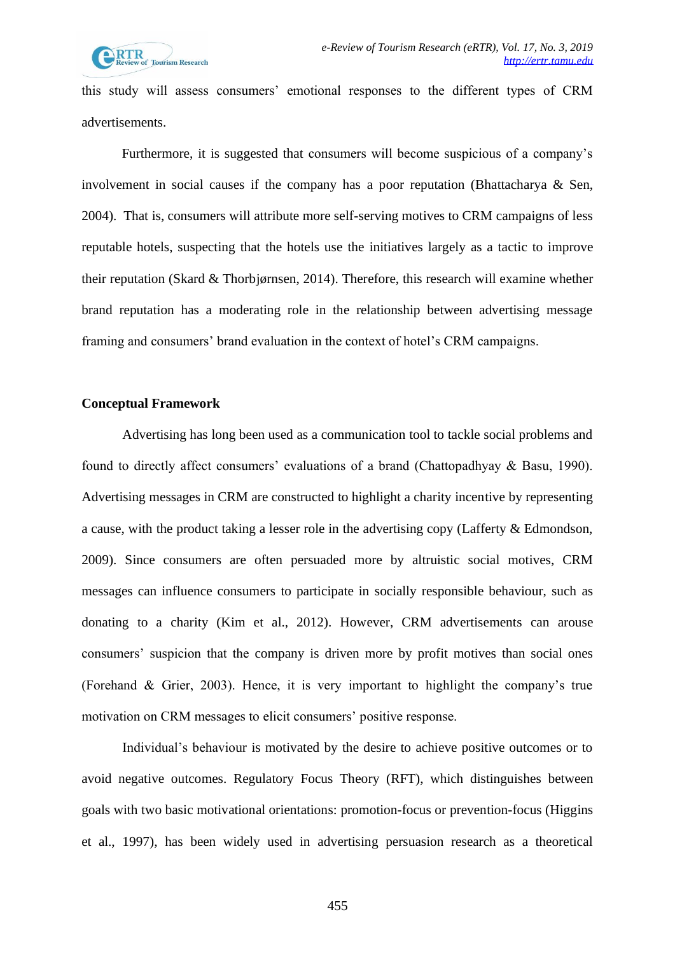this study will assess consumers' emotional responses to the different types of CRM advertisements.

Furthermore, it is suggested that consumers will become suspicious of a company's involvement in social causes if the company has a poor reputation (Bhattacharya & Sen, 2004). That is, consumers will attribute more self-serving motives to CRM campaigns of less reputable hotels, suspecting that the hotels use the initiatives largely as a tactic to improve their reputation (Skard & Thorbjørnsen, 2014). Therefore, this research will examine whether brand reputation has a moderating role in the relationship between advertising message framing and consumers' brand evaluation in the context of hotel's CRM campaigns.

### **Conceptual Framework**

Advertising has long been used as a communication tool to tackle social problems and found to directly affect consumers' evaluations of a brand (Chattopadhyay & Basu, 1990). Advertising messages in CRM are constructed to highlight a charity incentive by representing a cause, with the product taking a lesser role in the advertising copy (Lafferty & Edmondson, 2009). Since consumers are often persuaded more by altruistic social motives, CRM messages can influence consumers to participate in socially responsible behaviour, such as donating to a charity (Kim et al., 2012). However, CRM advertisements can arouse consumers' suspicion that the company is driven more by profit motives than social ones (Forehand & Grier, 2003). Hence, it is very important to highlight the company's true motivation on CRM messages to elicit consumers' positive response.

Individual's behaviour is motivated by the desire to achieve positive outcomes or to avoid negative outcomes. Regulatory Focus Theory (RFT), which distinguishes between goals with two basic motivational orientations: promotion-focus or prevention-focus (Higgins et al., 1997), has been widely used in advertising persuasion research as a theoretical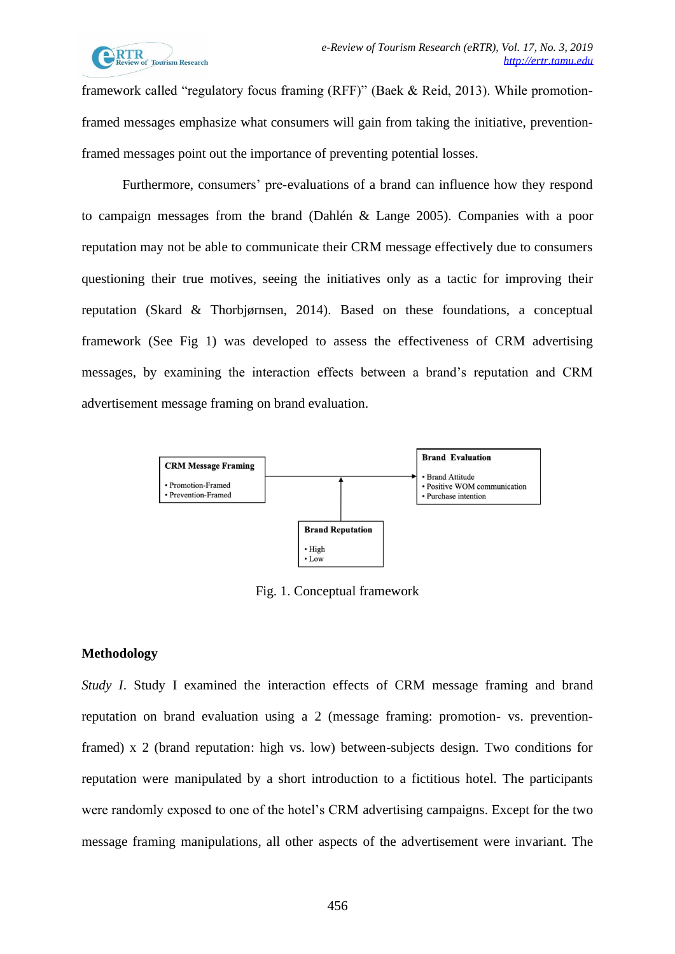

framework called "regulatory focus framing (RFF)" (Baek & Reid, 2013). While promotionframed messages emphasize what consumers will gain from taking the initiative, preventionframed messages point out the importance of preventing potential losses.

Furthermore, consumers' pre-evaluations of a brand can influence how they respond to campaign messages from the brand (Dahlén & Lange 2005). Companies with a poor reputation may not be able to communicate their CRM message effectively due to consumers questioning their true motives, seeing the initiatives only as a tactic for improving their reputation (Skard & Thorbjørnsen, 2014). Based on these foundations, a conceptual framework (See Fig 1) was developed to assess the effectiveness of CRM advertising messages, by examining the interaction effects between a brand's reputation and CRM advertisement message framing on brand evaluation.



Fig. 1. Conceptual framework

#### **Methodology**

*Study I*. Study I examined the interaction effects of CRM message framing and brand reputation on brand evaluation using a 2 (message framing: promotion- vs. preventionframed) x 2 (brand reputation: high vs. low) between-subjects design. Two conditions for reputation were manipulated by a short introduction to a fictitious hotel. The participants were randomly exposed to one of the hotel's CRM advertising campaigns. Except for the two message framing manipulations, all other aspects of the advertisement were invariant. The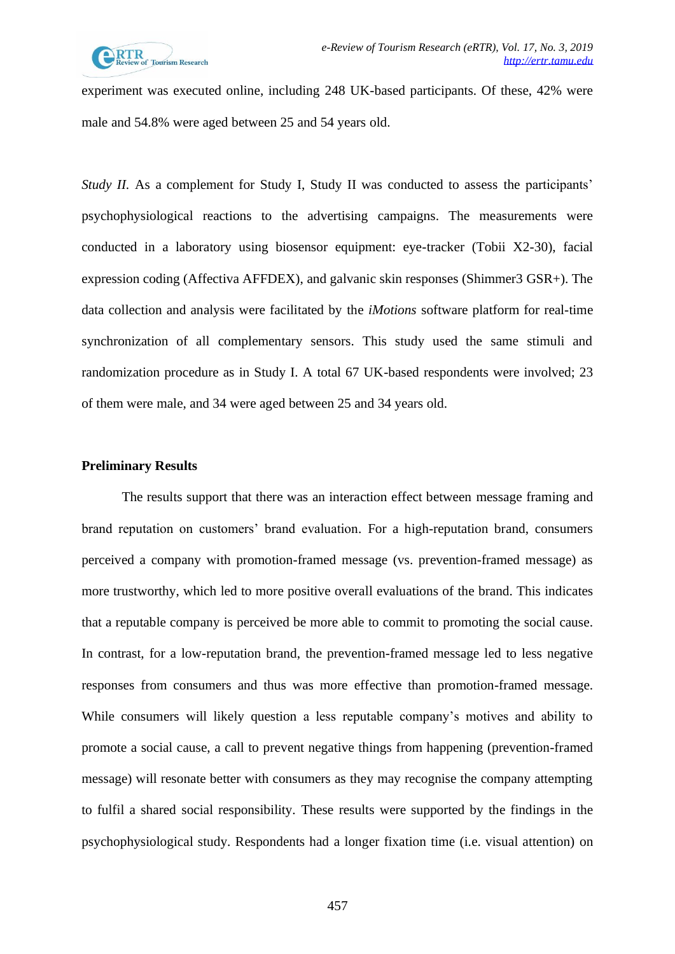

experiment was executed online, including 248 UK-based participants. Of these, 42% were male and 54.8% were aged between 25 and 54 years old.

*Study II.* As a complement for Study I, Study II was conducted to assess the participants' psychophysiological reactions to the advertising campaigns. The measurements were conducted in a laboratory using biosensor equipment: eye-tracker (Tobii X2-30), facial expression coding (Affectiva AFFDEX), and galvanic skin responses (Shimmer3 GSR+). The data collection and analysis were facilitated by the *iMotions* software platform for real-time synchronization of all complementary sensors. This study used the same stimuli and randomization procedure as in Study I. A total 67 UK-based respondents were involved; 23 of them were male, and 34 were aged between 25 and 34 years old.

## **Preliminary Results**

The results support that there was an interaction effect between message framing and brand reputation on customers' brand evaluation. For a high-reputation brand, consumers perceived a company with promotion-framed message (vs. prevention-framed message) as more trustworthy, which led to more positive overall evaluations of the brand. This indicates that a reputable company is perceived be more able to commit to promoting the social cause. In contrast, for a low-reputation brand, the prevention-framed message led to less negative responses from consumers and thus was more effective than promotion-framed message. While consumers will likely question a less reputable company's motives and ability to promote a social cause, a call to prevent negative things from happening (prevention-framed message) will resonate better with consumers as they may recognise the company attempting to fulfil a shared social responsibility. These results were supported by the findings in the psychophysiological study. Respondents had a longer fixation time (i.e. visual attention) on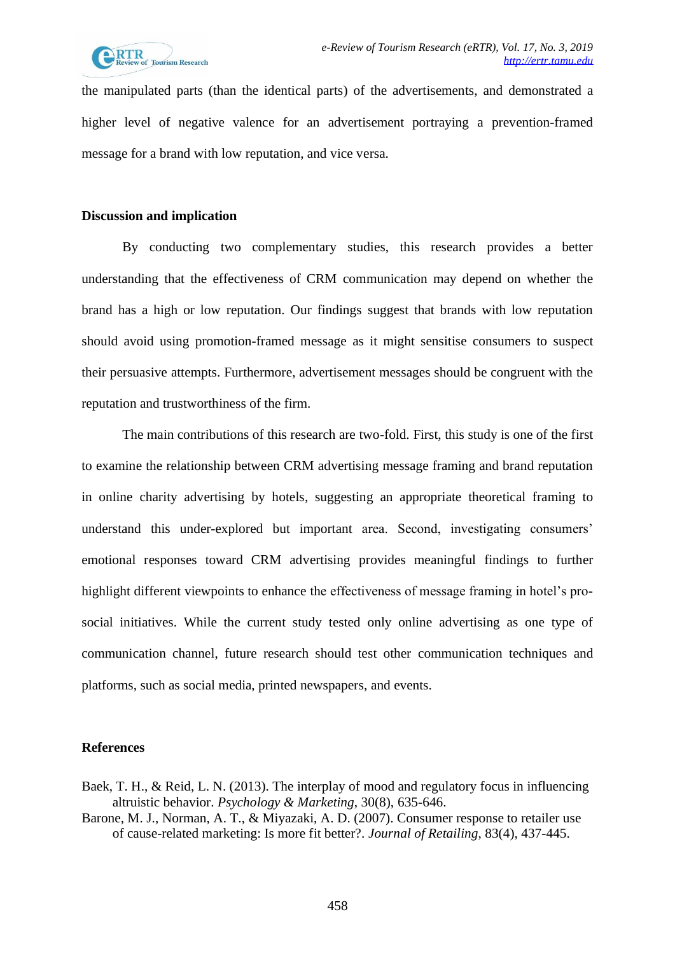

the manipulated parts (than the identical parts) of the advertisements, and demonstrated a higher level of negative valence for an advertisement portraying a prevention-framed message for a brand with low reputation, and vice versa.

#### **Discussion and implication**

By conducting two complementary studies, this research provides a better understanding that the effectiveness of CRM communication may depend on whether the brand has a high or low reputation. Our findings suggest that brands with low reputation should avoid using promotion-framed message as it might sensitise consumers to suspect their persuasive attempts. Furthermore, advertisement messages should be congruent with the reputation and trustworthiness of the firm.

The main contributions of this research are two-fold. First, this study is one of the first to examine the relationship between CRM advertising message framing and brand reputation in online charity advertising by hotels, suggesting an appropriate theoretical framing to understand this under-explored but important area. Second, investigating consumers' emotional responses toward CRM advertising provides meaningful findings to further highlight different viewpoints to enhance the effectiveness of message framing in hotel's prosocial initiatives. While the current study tested only online advertising as one type of communication channel, future research should test other communication techniques and platforms, such as social media, printed newspapers, and events.

#### **References**

- Baek, T. H., & Reid, L. N. (2013). The interplay of mood and regulatory focus in influencing altruistic behavior. *Psychology & Marketing*, 30(8), 635-646.
- Barone, M. J., Norman, A. T., & Miyazaki, A. D. (2007). Consumer response to retailer use of cause-related marketing: Is more fit better?. *Journal of Retailing*, 83(4), 437-445.